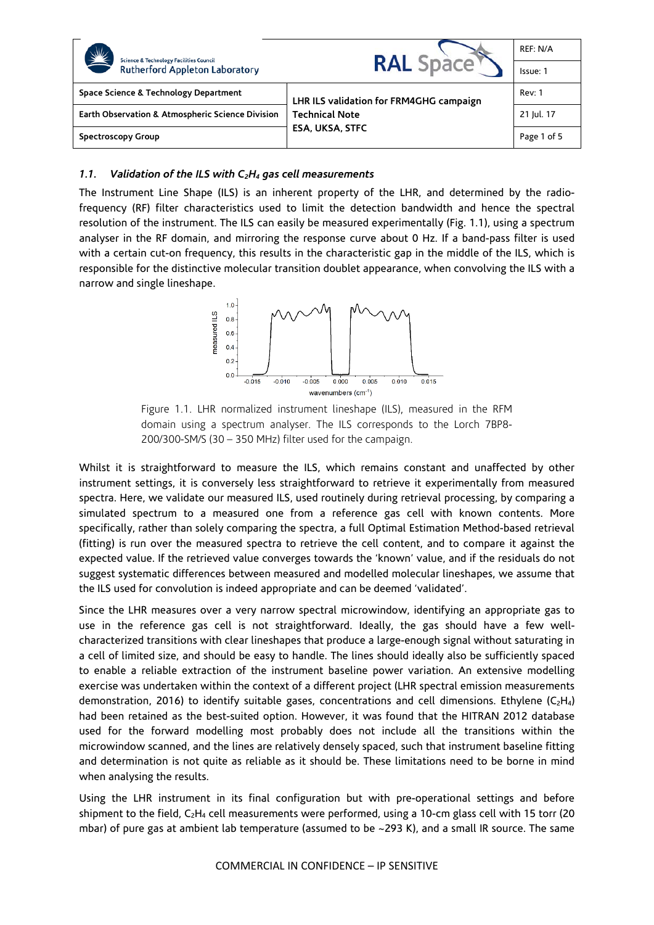| $\frac{1}{2}$<br><b>Science &amp; Technology Facilities Council</b><br><b>Rutherford Appleton Laboratory</b> | <b>RAL Space</b>                                                                           | REF: N/A    |
|--------------------------------------------------------------------------------------------------------------|--------------------------------------------------------------------------------------------|-------------|
|                                                                                                              |                                                                                            | Issue: 1    |
| Space Science & Technology Department                                                                        | LHR ILS validation for FRM4GHG campaign<br><b>Technical Note</b><br><b>ESA, UKSA, STFC</b> | Rev: 1      |
| Earth Observation & Atmospheric Science Division                                                             |                                                                                            | 21 Jul. 17  |
| Spectroscopy Group                                                                                           |                                                                                            | Page 1 of 5 |

## *1.1. Validation of the ILS with C2H4 gas cell measurements*

The Instrument Line Shape (ILS) is an inherent property of the LHR, and determined by the radiofrequency (RF) filter characteristics used to limit the detection bandwidth and hence the spectral resolution of the instrument. The ILS can easily be measured experimentally (Fig. 1.1), using a spectrum analyser in the RF domain, and mirroring the response curve about 0 Hz. If a band-pass filter is used with a certain cut-on frequency, this results in the characteristic gap in the middle of the ILS, which is responsible for the distinctive molecular transition doublet appearance, when convolving the ILS with a narrow and single lineshape.



Figure 1.1. LHR normalized instrument lineshape (ILS), measured in the RFM domain using a spectrum analyser. The ILS corresponds to the Lorch 7BP8- 200/300-SM/S (30 – 350 MHz) filter used for the campaign.

Whilst it is straightforward to measure the ILS, which remains constant and unaffected by other instrument settings, it is conversely less straightforward to retrieve it experimentally from measured spectra. Here, we validate our measured ILS, used routinely during retrieval processing, by comparing a simulated spectrum to a measured one from a reference gas cell with known contents. More specifically, rather than solely comparing the spectra, a full Optimal Estimation Method-based retrieval (fitting) is run over the measured spectra to retrieve the cell content, and to compare it against the expected value. If the retrieved value converges towards the 'known' value, and if the residuals do not suggest systematic differences between measured and modelled molecular lineshapes, we assume that the ILS used for convolution is indeed appropriate and can be deemed 'validated'.

Since the LHR measures over a very narrow spectral microwindow, identifying an appropriate gas to use in the reference gas cell is not straightforward. Ideally, the gas should have a few wellcharacterized transitions with clear lineshapes that produce a large-enough signal without saturating in a cell of limited size, and should be easy to handle. The lines should ideally also be sufficiently spaced to enable a reliable extraction of the instrument baseline power variation. An extensive modelling exercise was undertaken within the context of a different project (LHR spectral emission measurements demonstration, 2016) to identify suitable gases, concentrations and cell dimensions. Ethylene ( $C_2H_4$ ) had been retained as the best-suited option. However, it was found that the HITRAN 2012 database used for the forward modelling most probably does not include all the transitions within the microwindow scanned, and the lines are relatively densely spaced, such that instrument baseline fitting and determination is not quite as reliable as it should be. These limitations need to be borne in mind when analysing the results.

Using the LHR instrument in its final configuration but with pre-operational settings and before shipment to the field,  $C_2H_4$  cell measurements were performed, using a 10-cm glass cell with 15 torr (20 mbar) of pure gas at ambient lab temperature (assumed to be ~293 K), and a small IR source. The same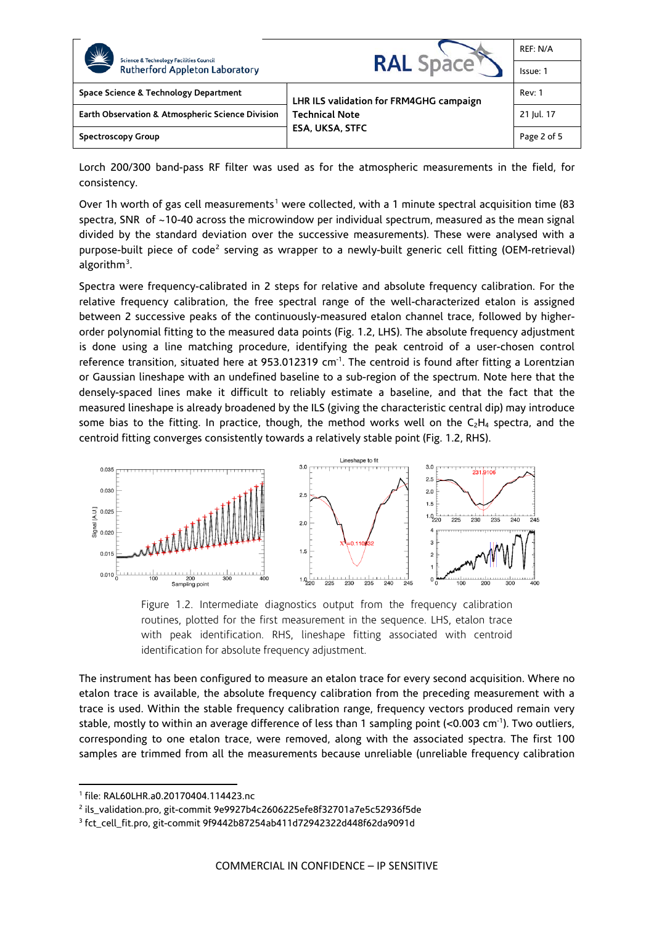| <b>Science &amp; Technology Facilities Council</b><br><b>Rutherford Appleton Laboratory</b> | <b>RAL Space</b>                                                                           | REF: N/A    |
|---------------------------------------------------------------------------------------------|--------------------------------------------------------------------------------------------|-------------|
|                                                                                             |                                                                                            | Issue: 1    |
| Space Science & Technology Department                                                       | LHR ILS validation for FRM4GHG campaign<br><b>Technical Note</b><br><b>ESA, UKSA, STFC</b> | Rev: 1      |
| Earth Observation & Atmospheric Science Division                                            |                                                                                            | 21 Jul. 17  |
| Spectroscopy Group                                                                          |                                                                                            | Page 2 of 5 |

Lorch 200/300 band-pass RF filter was used as for the atmospheric measurements in the field, for consistency.

Over [1](#page-1-0)h worth of gas cell measurements<sup>1</sup> were collected, with a 1 minute spectral acquisition time (83 spectra, SNR of ~10-40 across the microwindow per individual spectrum, measured as the mean signal divided by the standard deviation over the successive measurements). These were analysed with a purpose-built piece of code<sup>[2](#page-1-1)</sup> serving as wrapper to a newly-built generic cell fitting (OEM-retrieval) algorithm<sup>[3](#page-1-2)</sup>.

Spectra were frequency-calibrated in 2 steps for relative and absolute frequency calibration. For the relative frequency calibration, the free spectral range of the well-characterized etalon is assigned between 2 successive peaks of the continuously-measured etalon channel trace, followed by higherorder polynomial fitting to the measured data points (Fig. 1.2, LHS). The absolute frequency adjustment is done using a line matching procedure, identifying the peak centroid of a user-chosen control reference transition, situated here at 953.012319 cm<sup>-1</sup>. The centroid is found after fitting a Lorentzian or Gaussian lineshape with an undefined baseline to a sub-region of the spectrum. Note here that the densely-spaced lines make it difficult to reliably estimate a baseline, and that the fact that the measured lineshape is already broadened by the ILS (giving the characteristic central dip) may introduce some bias to the fitting. In practice, though, the method works well on the  $C_2H_4$  spectra, and the centroid fitting converges consistently towards a relatively stable point (Fig. 1.2, RHS).



Figure 1.2. Intermediate diagnostics output from the frequency calibration routines, plotted for the first measurement in the sequence. LHS, etalon trace with peak identification. RHS, lineshape fitting associated with centroid identification for absolute frequency adjustment.

The instrument has been configured to measure an etalon trace for every second acquisition. Where no etalon trace is available, the absolute frequency calibration from the preceding measurement with a trace is used. Within the stable frequency calibration range, frequency vectors produced remain very stable, mostly to within an average difference of less than 1 sampling point (<0.003 cm<sup>-1</sup>). Two outliers, corresponding to one etalon trace, were removed, along with the associated spectra. The first 100 samples are trimmed from all the measurements because unreliable (unreliable frequency calibration

 $\overline{a}$ 

<span id="page-1-0"></span><sup>1</sup> file: RAL60LHR.a0.20170404.114423.nc

<span id="page-1-1"></span><sup>2</sup> ils\_validation.pro, git-commit 9e9927b4c2606225efe8f32701a7e5c52936f5de

<span id="page-1-2"></span><sup>3</sup> fct\_cell\_fit.pro, git-commit 9f9442b87254ab411d72942322d448f62da9091d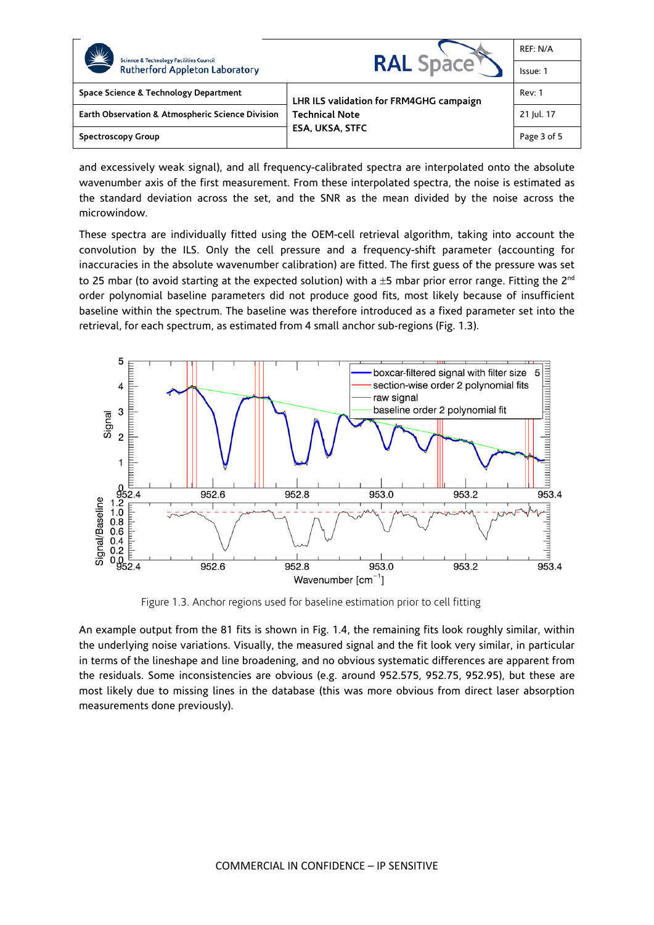| NE<br><b>Science &amp; Technology Facilities Council</b><br><b>Rutherford Appleton Laboratory</b> | <b>RAL</b> Space                                                                           | REF: N/A      |
|---------------------------------------------------------------------------------------------------|--------------------------------------------------------------------------------------------|---------------|
|                                                                                                   |                                                                                            | Issue: 1      |
| Space Science & Technology Department                                                             | LHR ILS validation for FRM4GHG campaign<br><b>Technical Note</b><br><b>ESA, UKSA, STFC</b> | <b>Rev: 1</b> |
| <b>Earth Observation &amp; Atmospheric Science Division</b>                                       |                                                                                            | 21 Jul. 17    |
| Spectroscopy Group                                                                                |                                                                                            | Page 3 of 5   |

and excessively weak signal), and all frequency-calibrated spectra are interpolated onto the absolute wavenumber axis of the first measurement. From these interpolated spectra, the noise is estimated as the standard deviation across the set, and the SNR as the mean divided by the noise across the microwindow.

These spectra are individually fitted using the OEM-cell retrieval algorithm, taking into account the convolution by the ILS. Only the cell pressure and a frequency-shift parameter (accounting for inaccuracies in the absolute wavenumber calibration) are fitted. The first guess of the pressure was set to 25 mbar (to avoid starting at the expected solution) with a  $\pm$ 5 mbar prior error range. Fitting the 2<sup>nd</sup> order polynomial baseline parameters did not produce good fits, most likely because of insufficient baseline within the spectrum. The baseline was therefore introduced as a fixed parameter set into the retrieval, for each spectrum, as estimated from 4 small anchor sub-regions (Fig. 1.3).



Figure 1.3. Anchor regions used for baseline estimation prior to cell fitting

An example output from the 81 fits is shown in Fig. 1.4, the remaining fits look roughly similar, within the underlying noise variations. Visually, the measured signal and the fit look very similar, in particular in terms of the lineshape and line broadening, and no obvious systematic differences are apparent from the residuals. Some inconsistencies are obvious (e.g. around 952.575, 952.75, 952.95), but these are most likely due to missing lines in the database (this was more obvious from direct laser absorption measurements done previously).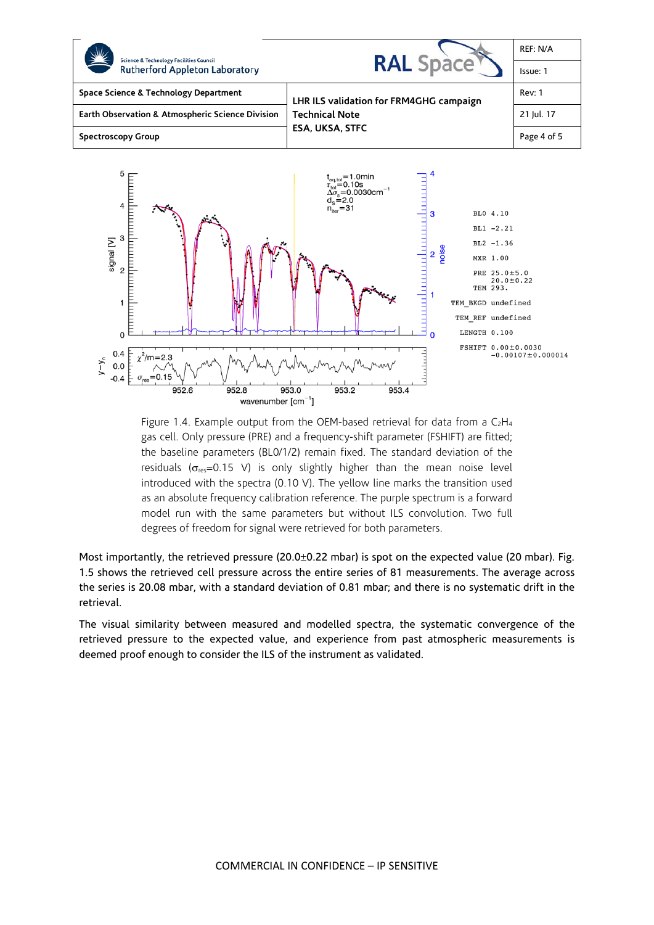

Figure 1.4. Example output from the OEM-based retrieval for data from a  $C_2H_4$ gas cell. Only pressure (PRE) and a frequency-shift parameter (FSHIFT) are fitted; the baseline parameters (BL0/1/2) remain fixed. The standard deviation of the residuals ( $\sigma_{res}$ =0.15 V) is only slightly higher than the mean noise level introduced with the spectra (0.10 V). The yellow line marks the transition used as an absolute frequency calibration reference. The purple spectrum is a forward model run with the same parameters but without ILS convolution. Two full degrees of freedom for signal were retrieved for both parameters.

Most importantly, the retrieved pressure (20.0±0.22 mbar) is spot on the expected value (20 mbar). Fig. 1.5 shows the retrieved cell pressure across the entire series of 81 measurements. The average across the series is 20.08 mbar, with a standard deviation of 0.81 mbar; and there is no systematic drift in the retrieval.

The visual similarity between measured and modelled spectra, the systematic convergence of the retrieved pressure to the expected value, and experience from past atmospheric measurements is deemed proof enough to consider the ILS of the instrument as validated.